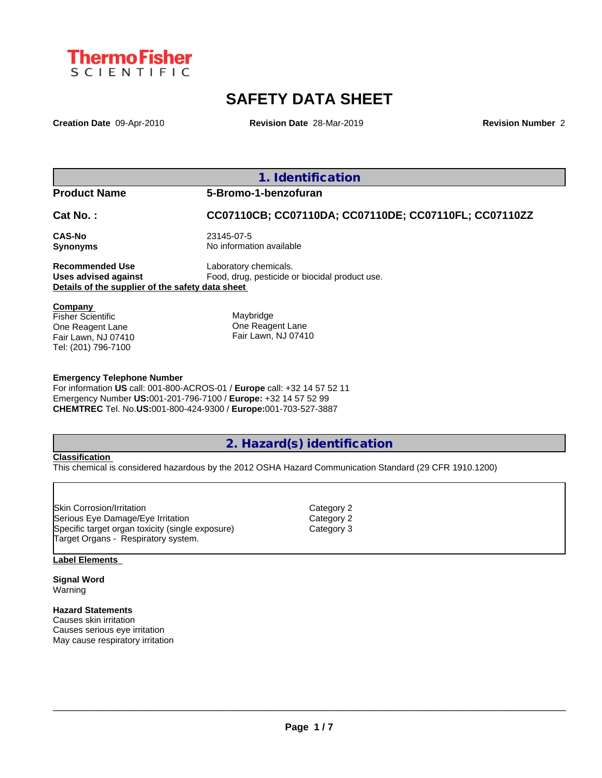

# **SAFETY DATA SHEET**

**Creation Date** 09-Apr-2010 **Revision Date** 28-Mar-2019 **Revision Number** 2

| 1. Identification |  |
|-------------------|--|
|                   |  |

**Product Name 5-Bromo-1-benzofuran**

**CAS-No** 23145-07-5

# **Cat No. : CC07110CB; CC07110DA; CC07110DE; CC07110FL; CC07110ZZ**

**Synonyms** No information available

**Recommended Use** Laboratory chemicals.<br> **Uses advised against** Food, drug, pesticide of Food, drug, pesticide or biocidal product use. **Details of the supplier of the safety data sheet**

**Company**  Fisher Scientific One Reagent Lane Fair Lawn, NJ 07410 Tel: (201) 796-7100

Maybridge One Reagent Lane Fair Lawn, NJ 07410

### **Emergency Telephone Number**

For information **US** call: 001-800-ACROS-01 / **Europe** call: +32 14 57 52 11 Emergency Number **US:**001-201-796-7100 / **Europe:** +32 14 57 52 99 **CHEMTREC** Tel. No.**US:**001-800-424-9300 / **Europe:**001-703-527-3887

### **2. Hazard(s) identification**

### **Classification**

This chemical is considered hazardous by the 2012 OSHA Hazard Communication Standard (29 CFR 1910.1200)

| <b>Skin Corrosion/Irritation</b>                 | Category 2 |  |
|--------------------------------------------------|------------|--|
| Serious Eye Damage/Eye Irritation                | Category 2 |  |
| Specific target organ toxicity (single exposure) | Category 3 |  |
| Target Organs - Respiratory system.              |            |  |

### **Label Elements**

**Signal Word** Warning

### **Hazard Statements**

Causes skin irritation Causes serious eye irritation May cause respiratory irritation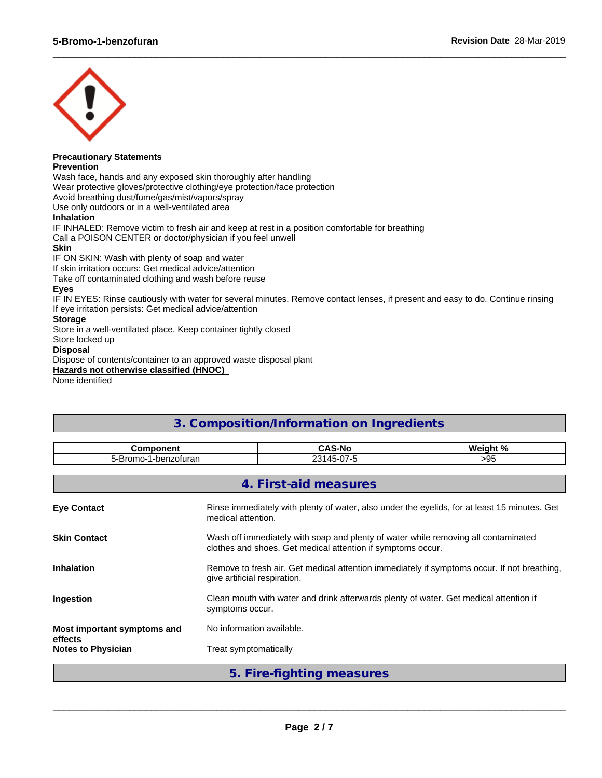

#### **Precautionary Statements Prevention**

Wash face, hands and any exposed skin thoroughly after handling

Wear protective gloves/protective clothing/eye protection/face protection

Avoid breathing dust/fume/gas/mist/vapors/spray

Use only outdoors or in a well-ventilated area

### **Inhalation**

IF INHALED: Remove victim to fresh air and keep at rest in a position comfortable for breathing Call a POISON CENTER or doctor/physician if you feel unwell

### **Skin**

IF ON SKIN: Wash with plenty of soap and water

If skin irritation occurs: Get medical advice/attention

Take off contaminated clothing and wash before reuse

### **Eyes**

IF IN EYES: Rinse cautiously with water for several minutes. Remove contact lenses, if present and easy to do. Continue rinsing If eye irritation persists: Get medical advice/attention

 $\_$  ,  $\_$  ,  $\_$  ,  $\_$  ,  $\_$  ,  $\_$  ,  $\_$  ,  $\_$  ,  $\_$  ,  $\_$  ,  $\_$  ,  $\_$  ,  $\_$  ,  $\_$  ,  $\_$  ,  $\_$  ,  $\_$  ,  $\_$  ,  $\_$  ,  $\_$  ,  $\_$  ,  $\_$  ,  $\_$  ,  $\_$  ,  $\_$  ,  $\_$  ,  $\_$  ,  $\_$  ,  $\_$  ,  $\_$  ,  $\_$  ,  $\_$  ,  $\_$  ,  $\_$  ,  $\_$  ,  $\_$  ,  $\_$  ,

### **Storage**

Store in a well-ventilated place. Keep container tightly closed

Store locked up

### **Disposal**

Dispose of contents/container to an approved waste disposal plant

**Hazards not otherwise classified (HNOC)**

None identified

## **3. Composition/Information on Ingredients Component CAS-No Weight %** 5-Bromo-1-benzofuran 23145-07-5 >95 **4. First-aid measures Eye Contact** Rinse immediately with plenty of water, also under the eyelids, for at least 15 minutes. Get medical attention. **Skin Contact Wash off immediately with soap and plenty of water while removing all contaminated** clothes and shoes. Get medical attention if symptoms occur. **Inhalation** Remove to fresh air. Get medical attention immediately if symptoms occur. If not breathing, give artificial respiration. **Ingestion** Clean mouth with water and drink afterwards plenty of water. Get medical attention if symptoms occur. **Most important symptoms and effects** No information available. **Notes to Physician** Treat symptomatically **5. Fire-fighting measures**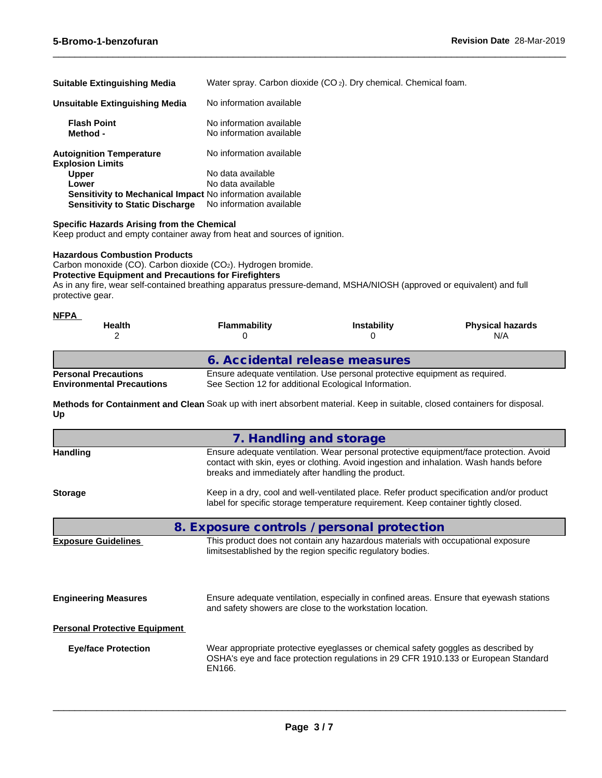| <b>Suitable Extinguishing Media</b>                                                                          | Water spray. Carbon dioxide (CO <sub>2</sub> ). Dry chemical. Chemical foam. |
|--------------------------------------------------------------------------------------------------------------|------------------------------------------------------------------------------|
| Unsuitable Extinguishing Media                                                                               | No information available                                                     |
| <b>Flash Point</b><br>Method -                                                                               | No information available<br>No information available                         |
| <b>Autoignition Temperature</b><br><b>Explosion Limits</b>                                                   | No information available                                                     |
| <b>Upper</b>                                                                                                 | No data available<br>No data available                                       |
| Lower<br>Sensitivity to Mechanical Impact No information available<br><b>Sensitivity to Static Discharge</b> | No information available                                                     |

### **Specific Hazards Arising from the Chemical**

Keep product and empty container away from heat and sources of ignition.

### **Hazardous Combustion Products**

Carbon monoxide (CO). Carbon dioxide (CO<sub>2</sub>). Hydrogen bromide.

### **Protective Equipment and Precautions for Firefighters**

As in any fire, wear self-contained breathing apparatus pressure-demand, MSHA/NIOSH (approved or equivalent) and full protective gear.

 $\_$  ,  $\_$  ,  $\_$  ,  $\_$  ,  $\_$  ,  $\_$  ,  $\_$  ,  $\_$  ,  $\_$  ,  $\_$  ,  $\_$  ,  $\_$  ,  $\_$  ,  $\_$  ,  $\_$  ,  $\_$  ,  $\_$  ,  $\_$  ,  $\_$  ,  $\_$  ,  $\_$  ,  $\_$  ,  $\_$  ,  $\_$  ,  $\_$  ,  $\_$  ,  $\_$  ,  $\_$  ,  $\_$  ,  $\_$  ,  $\_$  ,  $\_$  ,  $\_$  ,  $\_$  ,  $\_$  ,  $\_$  ,  $\_$  ,

| <b>NFPA</b><br><b>Health</b>                                    | <b>Flammability</b>                                   | <b>Instability</b>                                                          | <b>Physical hazards</b><br>N/A |
|-----------------------------------------------------------------|-------------------------------------------------------|-----------------------------------------------------------------------------|--------------------------------|
|                                                                 | 6. Accidental release measures                        |                                                                             |                                |
| <b>Personal Precautions</b><br><b>Environmental Precautions</b> | See Section 12 for additional Ecological Information. | Ensure adequate ventilation. Use personal protective equipment as required. |                                |

**Methods for Containment and Clean** Soak up with inert absorbent material. Keep in suitable, closed containers for disposal. **Up**

|                                      | 7. Handling and storage                                                                                                                                                                                                                |  |  |  |  |  |  |
|--------------------------------------|----------------------------------------------------------------------------------------------------------------------------------------------------------------------------------------------------------------------------------------|--|--|--|--|--|--|
| <b>Handling</b>                      | Ensure adequate ventilation. Wear personal protective equipment/face protection. Avoid<br>contact with skin, eyes or clothing. Avoid ingestion and inhalation. Wash hands before<br>breaks and immediately after handling the product. |  |  |  |  |  |  |
| <b>Storage</b>                       | Keep in a dry, cool and well-ventilated place. Refer product specification and/or product<br>label for specific storage temperature requirement. Keep container tightly closed.                                                        |  |  |  |  |  |  |
|                                      | 8. Exposure controls / personal protection                                                                                                                                                                                             |  |  |  |  |  |  |
| <b>Exposure Guidelines</b>           | This product does not contain any hazardous materials with occupational exposure<br>limitsestablished by the region specific regulatory bodies.                                                                                        |  |  |  |  |  |  |
| <b>Engineering Measures</b>          | Ensure adequate ventilation, especially in confined areas. Ensure that eyewash stations<br>and safety showers are close to the workstation location.                                                                                   |  |  |  |  |  |  |
| <b>Personal Protective Equipment</b> |                                                                                                                                                                                                                                        |  |  |  |  |  |  |
| <b>Eye/face Protection</b>           | Wear appropriate protective eyeglasses or chemical safety goggles as described by<br>OSHA's eye and face protection regulations in 29 CFR 1910.133 or European Standard<br>EN166.                                                      |  |  |  |  |  |  |
|                                      |                                                                                                                                                                                                                                        |  |  |  |  |  |  |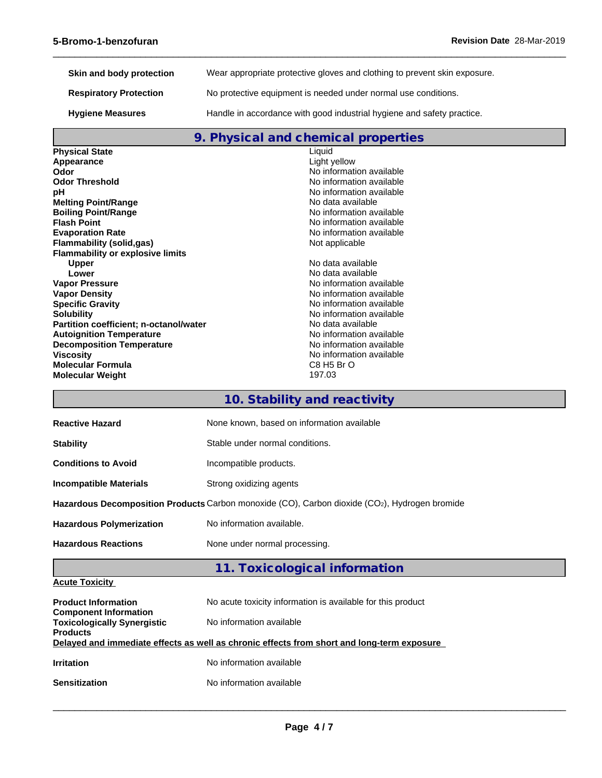**Skin and body protection** Wear appropriate protective gloves and clothing to prevent skin exposure. **Respiratory Protection** No protective equipment is needed under normal use conditions. Hygiene Measures **Handle** in accordance with good industrial hygiene and safety practice.

### **9. Physical and chemical properties**

 $\_$  ,  $\_$  ,  $\_$  ,  $\_$  ,  $\_$  ,  $\_$  ,  $\_$  ,  $\_$  ,  $\_$  ,  $\_$  ,  $\_$  ,  $\_$  ,  $\_$  ,  $\_$  ,  $\_$  ,  $\_$  ,  $\_$  ,  $\_$  ,  $\_$  ,  $\_$  ,  $\_$  ,  $\_$  ,  $\_$  ,  $\_$  ,  $\_$  ,  $\_$  ,  $\_$  ,  $\_$  ,  $\_$  ,  $\_$  ,  $\_$  ,  $\_$  ,  $\_$  ,  $\_$  ,  $\_$  ,  $\_$  ,  $\_$  ,

| <b>Physical State</b>                         | Liquid                   |
|-----------------------------------------------|--------------------------|
| Appearance                                    | Light yellow             |
| Odor                                          | No information available |
| <b>Odor Threshold</b>                         | No information available |
| рH                                            | No information available |
| <b>Melting Point/Range</b>                    | No data available        |
| <b>Boiling Point/Range</b>                    | No information available |
| <b>Flash Point</b>                            | No information available |
| <b>Evaporation Rate</b>                       | No information available |
| Flammability (solid,gas)                      | Not applicable           |
| <b>Flammability or explosive limits</b>       |                          |
| <b>Upper</b>                                  | No data available        |
| Lower                                         | No data available        |
| <b>Vapor Pressure</b>                         | No information available |
| <b>Vapor Density</b>                          | No information available |
| <b>Specific Gravity</b>                       | No information available |
| <b>Solubility</b>                             | No information available |
| <b>Partition coefficient; n-octanol/water</b> | No data available        |
| <b>Autoignition Temperature</b>               | No information available |
| <b>Decomposition Temperature</b>              | No information available |
| <b>Viscosity</b>                              | No information available |
| <b>Molecular Formula</b>                      | C8 H <sub>5</sub> Br O   |
| <b>Molecular Weight</b>                       | 197.03                   |

## **10. Stability and reactivity**

| <b>Reactive Hazard</b>                                     | None known, based on information available                                                    |
|------------------------------------------------------------|-----------------------------------------------------------------------------------------------|
| <b>Stability</b>                                           | Stable under normal conditions.                                                               |
| <b>Conditions to Avoid</b>                                 | Incompatible products.                                                                        |
| <b>Incompatible Materials</b>                              | Strong oxidizing agents                                                                       |
|                                                            | Hazardous Decomposition Products Carbon monoxide (CO), Carbon dioxide (CO2), Hydrogen bromide |
| <b>Hazardous Polymerization</b>                            | No information available.                                                                     |
| <b>Hazardous Reactions</b>                                 | None under normal processing.                                                                 |
|                                                            | 11. Toxicological information                                                                 |
| <b>Acute Toxicity</b>                                      |                                                                                               |
| <b>Product Information</b><br><b>Component Information</b> | No acute toxicity information is available for this product                                   |
| <b>Toxicologically Synergistic</b>                         | No information available                                                                      |

| <b>Products</b>   |                                                                                            |
|-------------------|--------------------------------------------------------------------------------------------|
|                   | Delayed and immediate effects as well as chronic effects from short and long-term exposure |
| <b>Irritation</b> | No information available                                                                   |
|                   |                                                                                            |

**Sensitization** No information available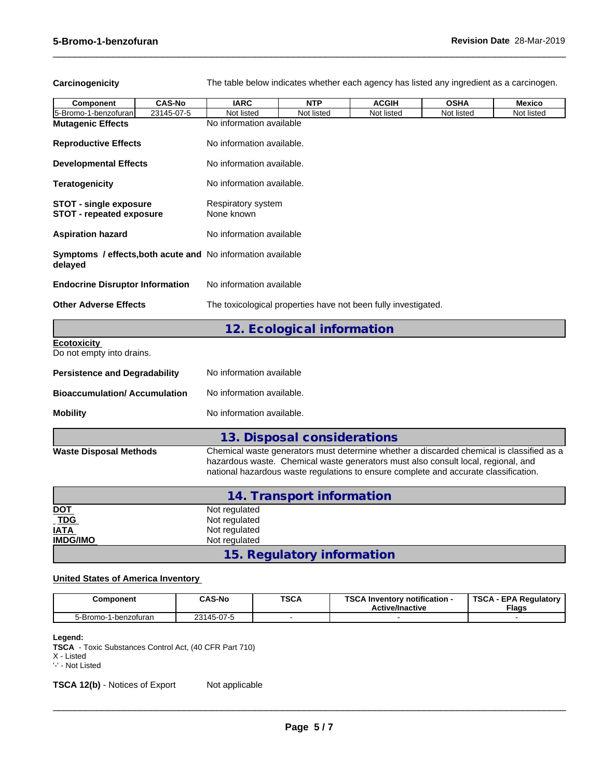Carcinogenicity The table below indicates whether each agency has listed any ingredient as a carcinogen.

 $\_$  ,  $\_$  ,  $\_$  ,  $\_$  ,  $\_$  ,  $\_$  ,  $\_$  ,  $\_$  ,  $\_$  ,  $\_$  ,  $\_$  ,  $\_$  ,  $\_$  ,  $\_$  ,  $\_$  ,  $\_$  ,  $\_$  ,  $\_$  ,  $\_$  ,  $\_$  ,  $\_$  ,  $\_$  ,  $\_$  ,  $\_$  ,  $\_$  ,  $\_$  ,  $\_$  ,  $\_$  ,  $\_$  ,  $\_$  ,  $\_$  ,  $\_$  ,  $\_$  ,  $\_$  ,  $\_$  ,  $\_$  ,  $\_$  ,

| Component                                                              | <b>CAS-No</b> | <b>IARC</b>                                                                                                                                                                                                                                                           | <b>NTP</b>                  | <b>ACGIH</b> | <b>OSHA</b> | <b>Mexico</b> |  |  |  |  |
|------------------------------------------------------------------------|---------------|-----------------------------------------------------------------------------------------------------------------------------------------------------------------------------------------------------------------------------------------------------------------------|-----------------------------|--------------|-------------|---------------|--|--|--|--|
| 5-Bromo-1-benzofuran                                                   | 23145-07-5    | Not listed                                                                                                                                                                                                                                                            | Not listed                  | Not listed   | Not listed  | Not listed    |  |  |  |  |
| <b>Mutagenic Effects</b>                                               |               | No information available                                                                                                                                                                                                                                              |                             |              |             |               |  |  |  |  |
| <b>Reproductive Effects</b>                                            |               | No information available.                                                                                                                                                                                                                                             |                             |              |             |               |  |  |  |  |
| <b>Developmental Effects</b>                                           |               | No information available.                                                                                                                                                                                                                                             |                             |              |             |               |  |  |  |  |
| <b>Teratogenicity</b>                                                  |               | No information available.                                                                                                                                                                                                                                             |                             |              |             |               |  |  |  |  |
| <b>STOT - single exposure</b><br><b>STOT - repeated exposure</b>       |               | Respiratory system<br>None known                                                                                                                                                                                                                                      |                             |              |             |               |  |  |  |  |
| <b>Aspiration hazard</b>                                               |               | No information available                                                                                                                                                                                                                                              |                             |              |             |               |  |  |  |  |
| Symptoms / effects, both acute and No information available<br>delayed |               |                                                                                                                                                                                                                                                                       |                             |              |             |               |  |  |  |  |
| <b>Endocrine Disruptor Information</b>                                 |               | No information available                                                                                                                                                                                                                                              |                             |              |             |               |  |  |  |  |
| <b>Other Adverse Effects</b>                                           |               | The toxicological properties have not been fully investigated.                                                                                                                                                                                                        |                             |              |             |               |  |  |  |  |
|                                                                        |               |                                                                                                                                                                                                                                                                       | 12. Ecological information  |              |             |               |  |  |  |  |
| <b>Ecotoxicity</b><br>Do not empty into drains.                        |               |                                                                                                                                                                                                                                                                       |                             |              |             |               |  |  |  |  |
| <b>Persistence and Degradability</b>                                   |               | No information available                                                                                                                                                                                                                                              |                             |              |             |               |  |  |  |  |
| <b>Bioaccumulation/Accumulation</b>                                    |               | No information available.                                                                                                                                                                                                                                             |                             |              |             |               |  |  |  |  |
| <b>Mobility</b>                                                        |               | No information available.                                                                                                                                                                                                                                             |                             |              |             |               |  |  |  |  |
|                                                                        |               |                                                                                                                                                                                                                                                                       | 13. Disposal considerations |              |             |               |  |  |  |  |
| <b>Waste Disposal Methods</b>                                          |               | Chemical waste generators must determine whether a discarded chemical is classified as a<br>hazardous waste. Chemical waste generators must also consult local, regional, and<br>national hazardous waste regulations to ensure complete and accurate classification. |                             |              |             |               |  |  |  |  |
|                                                                        |               |                                                                                                                                                                                                                                                                       | 14. Transport information   |              |             |               |  |  |  |  |

|                               | 14. Transport information  |  |
|-------------------------------|----------------------------|--|
| <u>DOT</u>                    | Not regulated              |  |
| $\underline{\phantom{a}}$ TDG | Not regulated              |  |
| <b>IATA</b>                   | Not regulated              |  |
| <b>IMDG/IMO</b>               | Not regulated              |  |
|                               | 15. Regulatory information |  |

### **United States of America Inventory**

| Component               | <b>CAS-No</b> | <b>TSCA</b> | TOO ALL<br><b>∖ Inventorv notification -</b><br>ື້<br><b>Active/Inactive</b> | <b>TSCA</b><br><b>LEPA Requiatory</b><br><b>Flags</b> |  |
|-------------------------|---------------|-------------|------------------------------------------------------------------------------|-------------------------------------------------------|--|
| -benzofuran<br>5-Bromo- | 23145-07-5    |             |                                                                              |                                                       |  |

**Legend:**

**TSCA** - Toxic Substances Control Act, (40 CFR Part 710)

X - Listed

'-' - Not Listed

**TSCA 12(b)** - Notices of Export Not applicable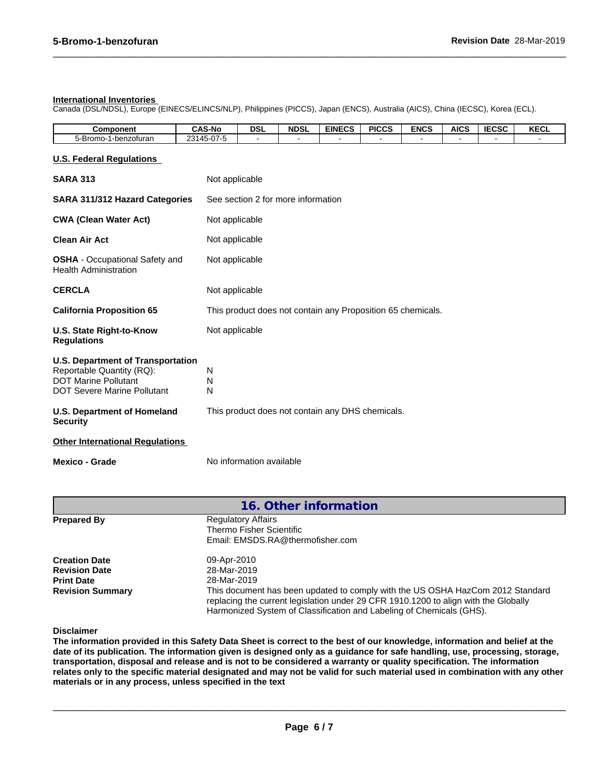### **International Inventories**

Canada (DSL/NDSL), Europe (EINECS/ELINCS/NLP), Philippines (PICCS), Japan (ENCS), Australia (AICS), China (IECSC), Korea (ECL).

| Component               | <b>CAS-No</b>                                                  | <b>DSL</b> | <b>NDSL</b> | <b>EINECS</b> | <b>PICCS</b> | <b>ENCS</b> | <b>AICS</b> | <b>IECSC</b> | <b>KECL</b> |
|-------------------------|----------------------------------------------------------------|------------|-------------|---------------|--------------|-------------|-------------|--------------|-------------|
| ാ-Brom∩<br>1-benzofurar | $\sim$ $\sim$ $\sim$<br>2244E<br>$4^h$<br>ว-∪ <i>≀-ะ</i><br>᠇… |            |             |               |              |             |             |              |             |

 $\_$  ,  $\_$  ,  $\_$  ,  $\_$  ,  $\_$  ,  $\_$  ,  $\_$  ,  $\_$  ,  $\_$  ,  $\_$  ,  $\_$  ,  $\_$  ,  $\_$  ,  $\_$  ,  $\_$  ,  $\_$  ,  $\_$  ,  $\_$  ,  $\_$  ,  $\_$  ,  $\_$  ,  $\_$  ,  $\_$  ,  $\_$  ,  $\_$  ,  $\_$  ,  $\_$  ,  $\_$  ,  $\_$  ,  $\_$  ,  $\_$  ,  $\_$  ,  $\_$  ,  $\_$  ,  $\_$  ,  $\_$  ,  $\_$  ,

### **U.S. Federal Regulations**

| <b>SARA 313</b>                                                                                                                            | Not applicable                                              |
|--------------------------------------------------------------------------------------------------------------------------------------------|-------------------------------------------------------------|
| <b>SARA 311/312 Hazard Categories</b>                                                                                                      | See section 2 for more information                          |
| <b>CWA (Clean Water Act)</b>                                                                                                               | Not applicable                                              |
| <b>Clean Air Act</b>                                                                                                                       | Not applicable                                              |
| <b>OSHA</b> - Occupational Safety and<br><b>Health Administration</b>                                                                      | Not applicable                                              |
| <b>CERCLA</b>                                                                                                                              | Not applicable                                              |
| <b>California Proposition 65</b>                                                                                                           | This product does not contain any Proposition 65 chemicals. |
| U.S. State Right-to-Know<br><b>Regulations</b>                                                                                             | Not applicable                                              |
| <b>U.S. Department of Transportation</b><br>Reportable Quantity (RQ):<br><b>DOT Marine Pollutant</b><br><b>DOT Severe Marine Pollutant</b> | N<br>N<br>N                                                 |
| <b>U.S. Department of Homeland</b><br><b>Security</b>                                                                                      | This product does not contain any DHS chemicals.            |
| <b>Other International Regulations</b>                                                                                                     |                                                             |
| Mexico - Grade                                                                                                                             | No information available                                    |

|                                              | 16. Other information                                                                                                                                                                                                                         |
|----------------------------------------------|-----------------------------------------------------------------------------------------------------------------------------------------------------------------------------------------------------------------------------------------------|
| <b>Prepared By</b>                           | <b>Regulatory Affairs</b><br>Thermo Fisher Scientific<br>Email: EMSDS.RA@thermofisher.com                                                                                                                                                     |
| <b>Creation Date</b><br><b>Revision Date</b> | 09-Apr-2010<br>28-Mar-2019                                                                                                                                                                                                                    |
| <b>Print Date</b>                            | 28-Mar-2019                                                                                                                                                                                                                                   |
| <b>Revision Summary</b>                      | This document has been updated to comply with the US OSHA HazCom 2012 Standard<br>replacing the current legislation under 29 CFR 1910.1200 to align with the Globally<br>Harmonized System of Classification and Labeling of Chemicals (GHS). |

**Disclaimer**

The information provided in this Safety Data Sheet is correct to the best of our knowledge, information and belief at the date of its publication. The information given is designed only as a guidance for safe handling, use, processing, storage, transportation, disposal and release and is not to be considered a warranty or quality specification. The information relates only to the specific material designated and may not be valid for such material used in combination with any other **materials or in any process,unless specified in the text**